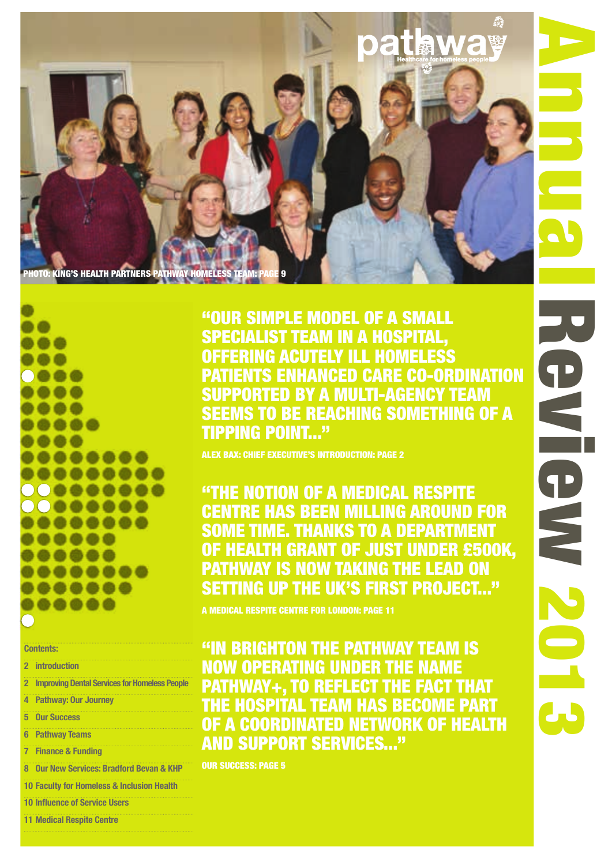

**2 Improving Dental Services for Homeless People**

**5 Our Success**

**Contents: 2 introduction**

**6 Pathway Teams**

**4 Pathway: Our Journey**

- **7 Finance & Funding**
- **8 Our New Services: Bradford Bevan & KHP**
- **10 Faculty for Homeless & Inclusion Health**
- **10 Influence of Service Users**
- **11 Medical Respite Centre**

"Our simple model of a small specialist team in a hospital, offering acutely ill homeless NTS ENHANCED CARE CO-ORDINATION supported by a multi-agency team **EEMS TO BE REACHING SOMETHING OF A** tipping point..."

ALEX BAX: CHIEF EXECUTIVE'S INTRODUCTION: PAGE 2

"The notion of a Medical Respite Centre has been milling around for some time. Thanks to a Department of Health grant of just under £500k, Pathway is now taking the lead on SETTING UP THE UK'S FIRST PROJECT..."

A MEDICAL RESPITE CENTRE FOR LONDON: PAGE 11

"In Brighton the Pathway team is now operating under the name Pathway+, to reflect the fact that the hospital team has become part of a coordinated network of health and support services..."

our success: page 5

Annual Review 2013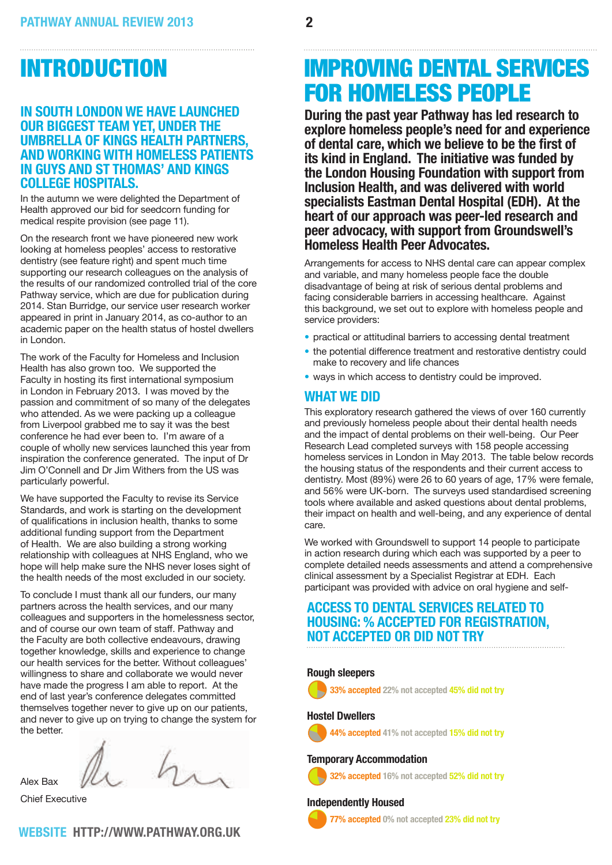## INTRODUCTION

#### **In South London we have launched our biggest team yet, under the umbrella of Kings Health Partners, and working with homeless patients in Guys and St Thomas' and Kings College Hospitals.**

In the autumn we were delighted the Department of Health approved our bid for seedcorn funding for medical respite provision (see page 11).

On the research front we have pioneered new work looking at homeless peoples' access to restorative dentistry (see feature right) and spent much time supporting our research colleagues on the analysis of the results of our randomized controlled trial of the core Pathway service, which are due for publication during 2014. Stan Burridge, our service user research worker appeared in print in January 2014, as co-author to an academic paper on the health status of hostel dwellers in London.

The work of the Faculty for Homeless and Inclusion Health has also grown too. We supported the Faculty in hosting its first international symposium in London in February 2013. I was moved by the passion and commitment of so many of the delegates who attended. As we were packing up a colleague from Liverpool grabbed me to say it was the best conference he had ever been to. I'm aware of a couple of wholly new services launched this year from inspiration the conference generated. The input of Dr Jim O'Connell and Dr Jim Withers from the US was particularly powerful.

We have supported the Faculty to revise its Service Standards, and work is starting on the development of qualifications in inclusion health, thanks to some additional funding support from the Department of Health. We are also building a strong working relationship with colleagues at NHS England, who we hope will help make sure the NHS never loses sight of the health needs of the most excluded in our society.

To conclude I must thank all our funders, our many partners across the health services, and our many colleagues and supporters in the homelessness sector, and of course our own team of staff. Pathway and the Faculty are both collective endeavours, drawing together knowledge, skills and experience to change our health services for the better. Without colleagues' willingness to share and collaborate we would never have made the progress I am able to report. At the end of last year's conference delegates committed themselves together never to give up on our patients, and never to give up on trying to change the system for the better.

**WEBSITE: http://www.pathway.org.uk** 

Alex Bax

Chief Executive

## Improving dental services for homeless people

**During the past year Pathway has led research to explore homeless people's need for and experience of dental care, which we believe to be the first of its kind in England. The initiative was funded by the London Housing Foundation with support from Inclusion Health, and was delivered with world specialists Eastman Dental Hospital (EDH). At the heart of our approach was peer-led research and peer advocacy, with support from Groundswell's Homeless Health Peer Advocates.** 

Arrangements for access to NHS dental care can appear complex and variable, and many homeless people face the double disadvantage of being at risk of serious dental problems and facing considerable barriers in accessing healthcare. Against this background, we set out to explore with homeless people and service providers:

- practical or attitudinal barriers to accessing dental treatment
- the potential difference treatment and restorative dentistry could make to recovery and life chances
- ways in which access to dentistry could be improved.

#### **What we did**

This exploratory research gathered the views of over 160 currently and previously homeless people about their dental health needs and the impact of dental problems on their well-being. Our Peer Research Lead completed surveys with 158 people accessing homeless services in London in May 2013. The table below records the housing status of the respondents and their current access to dentistry. Most (89%) were 26 to 60 years of age, 17% were female, and 56% were UK-born. The surveys used standardised screening tools where available and asked questions about dental problems, their impact on health and well-being, and any experience of dental care.

We worked with Groundswell to support 14 people to participate in action research during which each was supported by a peer to complete detailed needs assessments and attend a comprehensive clinical assessment by a Specialist Registrar at EDH. Each participant was provided with advice on oral hygiene and self-

## **Access to dental services related to housing: % accepted for registration, not accepted or did not try**

#### **Rough sleepers**

 $\ddot{\bm{\theta}}$ 3**33% accepted 22% not accepted 45% did not try**

#### **Hostel Dwellers**



#### 4**44% accepted 41% not accepted 15% did not try**

#### **Temporary Accommodation**



## **Independently Housed**<br>**77% accepted** 0% no



8**77% accepted 0% not accepted 23% did not try**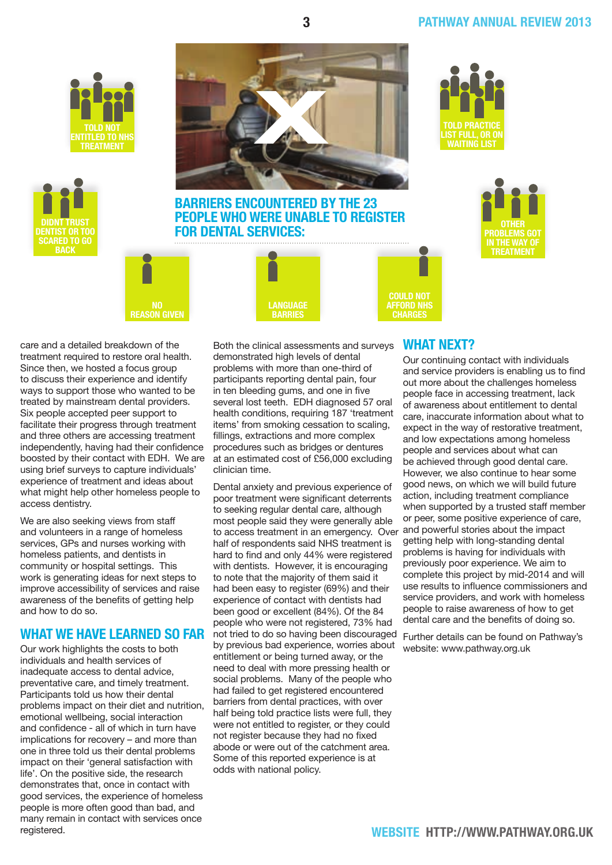#### **3 pathway ANNUAL REVIEW 2013**







**Barriers encountered by the 23 people who were unable to register for dental services:**

> **language barries**







care and a detailed breakdown of the treatment required to restore oral health. Since then, we hosted a focus group to discuss their experience and identify ways to support those who wanted to be treated by mainstream dental providers. Six people accepted peer support to facilitate their progress through treatment and three others are accessing treatment independently, having had their confidence boosted by their contact with EDH. We are using brief surveys to capture individuals' experience of treatment and ideas about what might help other homeless people to access dentistry.

We are also seeking views from staff and volunteers in a range of homeless services, GPs and nurses working with homeless patients, and dentists in community or hospital settings. This work is generating ideas for next steps to improve accessibility of services and raise awareness of the benefits of getting help and how to do so.

#### **What we have learned so far**

Our work highlights the costs to both individuals and health services of inadequate access to dental advice, preventative care, and timely treatment. Participants told us how their dental problems impact on their diet and nutrition, emotional wellbeing, social interaction and confidence - all of which in turn have implications for recovery – and more than one in three told us their dental problems impact on their 'general satisfaction with life'. On the positive side, the research demonstrates that, once in contact with good services, the experience of homeless people is more often good than bad, and many remain in contact with services once registered.

Both the clinical assessments and surveys **WHAT NEXT?** demonstrated high levels of dental problems with more than one-third of participants reporting dental pain, four in ten bleeding gums, and one in five several lost teeth. EDH diagnosed 57 oral health conditions, requiring 187 'treatment items' from smoking cessation to scaling, fillings, extractions and more complex procedures such as bridges or dentures at an estimated cost of £56,000 excluding clinician time.

Dental anxiety and previous experience of poor treatment were significant deterrents to seeking regular dental care, although most people said they were generally able to access treatment in an emergency. Over half of respondents said NHS treatment is hard to find and only 44% were registered with dentists. However, it is encouraging to note that the majority of them said it had been easy to register (69%) and their experience of contact with dentists had been good or excellent (84%). Of the 84 people who were not registered, 73% had not tried to do so having been discouraged by previous bad experience, worries about entitlement or being turned away, or the need to deal with more pressing health or social problems. Many of the people who had failed to get registered encountered barriers from dental practices, with over half being told practice lists were full, they were not entitled to register, or they could not register because they had no fixed abode or were out of the catchment area. Some of this reported experience is at odds with national policy.

**could not afford NHS charges**

> Our continuing contact with individuals and service providers is enabling us to find out more about the challenges homeless people face in accessing treatment, lack of awareness about entitlement to dental care, inaccurate information about what to expect in the way of restorative treatment, and low expectations among homeless people and services about what can be achieved through good dental care. However, we also continue to hear some good news, on which we will build future action, including treatment compliance when supported by a trusted staff member or peer, some positive experience of care, and powerful stories about the impact getting help with long-standing dental problems is having for individuals with previously poor experience. We aim to complete this project by mid-2014 and will use results to influence commissioners and service providers, and work with homeless people to raise awareness of how to get dental care and the benefits of doing so.

Further details can be found on Pathway's website: www.pathway.org.uk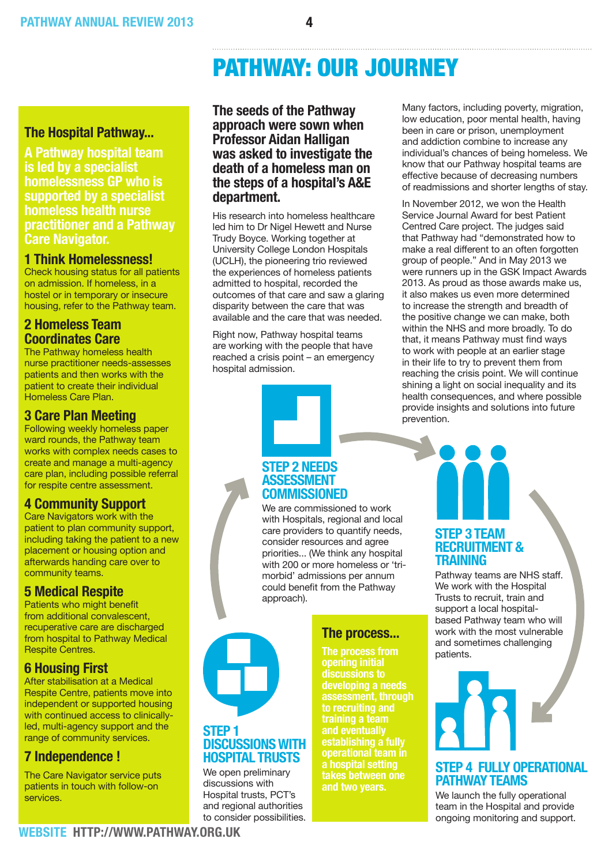#### **The Hospital Pathway...**

**A Pathway hospital team is led by a specialist homelessness GP who is supported by a specialist homeless health nurse practitioner and a Pathway Care Navigator.** 

#### **1 Think Homelessness!**

Check housing status for all patients on admission. If homeless, in a hostel or in temporary or insecure housing, refer to the Pathway team.

#### **2 Homeless Team Coordinates Care**

The Pathway homeless health nurse practitioner needs-assesses patients and then works with the patient to create their individual Homeless Care Plan.

#### **3 Care Plan Meeting**

Following weekly homeless paper ward rounds, the Pathway team works with complex needs cases to create and manage a multi-agency care plan, including possible referral for respite centre assessment.

#### **4 Community Support**

Care Navigators work with the patient to plan community support, including taking the patient to a new placement or housing option and afterwards handing care over to community teams.

#### **5 Medical Respite**

Patients who might benefit from additional convalescent, recuperative care are discharged from hospital to Pathway Medical Respite Centres.

#### **6 Housing First**

After stabilisation at a Medical Respite Centre, patients move into independent or supported housing with continued access to clinicallyled, multi-agency support and the range of community services.

#### **7 Independence !**

The Care Navigator service puts patients in touch with follow-on services.

#### **The seeds of the Pathway approach were sown when Professor Aidan Halligan was asked to investigate the death of a homeless man on the steps of a hospital's A&E department.**

His research into homeless healthcare led him to Dr Nigel Hewett and Nurse Trudy Boyce. Working together at University College London Hospitals (UCLH), the pioneering trio reviewed the experiences of homeless patients admitted to hospital, recorded the outcomes of that care and saw a glaring disparity between the care that was available and the care that was needed.

Right now, Pathway hospital teams are working with the people that have reached a crisis point – an emergency hospital admission.

Many factors, including poverty, migration, low education, poor mental health, having been in care or prison, unemployment and addiction combine to increase any individual's chances of being homeless. We know that our Pathway hospital teams are effective because of decreasing numbers of readmissions and shorter lengths of stay.

In November 2012, we won the Health Service Journal Award for best Patient Centred Care project. The judges said that Pathway had "demonstrated how to make a real different to an often forgotten group of people." And in May 2013 we were runners up in the GSK Impact Awards 2013. As proud as those awards make us, it also makes us even more determined to increase the strength and breadth of the positive change we can make, both within the NHS and more broadly. To do that, it means Pathway must find ways to work with people at an earlier stage in their life to try to prevent them from reaching the crisis point. We will continue shining a light on social inequality and its health consequences, and where possible provide insights and solutions into future prevention.

#### **STEP 2 Needs Assessment Commissioned**

We are commissioned to work with Hospitals, regional and local care providers to quantify needs, consider resources and agree priorities... (We think any hospital with 200 or more homeless or 'trimorbid' admissions per annum could benefit from the Pathway approach).



#### **STEP 1 Discussionswith Hospital Trusts**

We open preliminary discussions with Hospital trusts, PCT's and regional authorities to consider possibilities.

#### **The process...**

**The process from opening initial developing a needs assessment, through to recruiting and training a team and eventually establishing a fully operational team in a hospital setting takes between one and two years.** 

#### **STEP 3 Team Recruitment & Training**

Pathway teams are NHS staff. We work with the Hospital Trusts to recruit, train and support a local hospitalbased Pathway team who will work with the most vulnerable and sometimes challenging patients.

# **STEP 4 Fully Operational**

**Pathway Teams**

We launch the fully operational team in the Hospital and provide ongoing monitoring and support.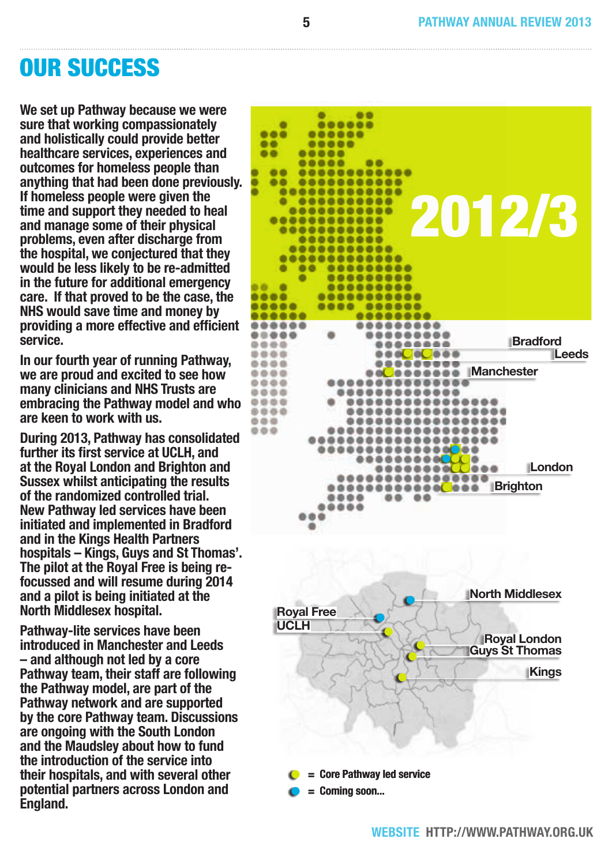## Our Success

**We set up Pathway because we were sure that working compassionately and holistically could provide better healthcare services, experiences and outcomes for homeless people than anything that had been done previously. If homeless people were given the time and support they needed to heal and manage some of their physical problems, even after discharge from the hospital, we conjectured that they would be less likely to be re-admitted in the future for additional emergency care. If that proved to be the case, the NHS would save time and money by providing a more effective and efficient service.**

**In our fourth year of running Pathway, we are proud and excited to see how many clinicians and NHS Trusts are embracing the Pathway model and who are keen to work with us.** 

**During 2013, Pathway has consolidated further its first service at UCLH, and at the Royal London and Brighton and Sussex whilst anticipating the results of the randomized controlled trial. New Pathway led services have been initiated and implemented in Bradford and in the Kings Health Partners hospitals – Kings, Guys and St Thomas'. The pilot at the Royal Free is being refocussed and will resume during 2014 and a pilot is being initiated at the North Middlesex hospital.** 

**Pathway-lite services have been introduced in Manchester and Leeds – and although not led by a core Pathway team, their staff are following the Pathway model, are part of the Pathway network and are supported by the core Pathway team. Discussions are ongoing with the South London and the Maudsley about how to fund the introduction of the service into their hospitals, and with several other potential partners across London and England.**

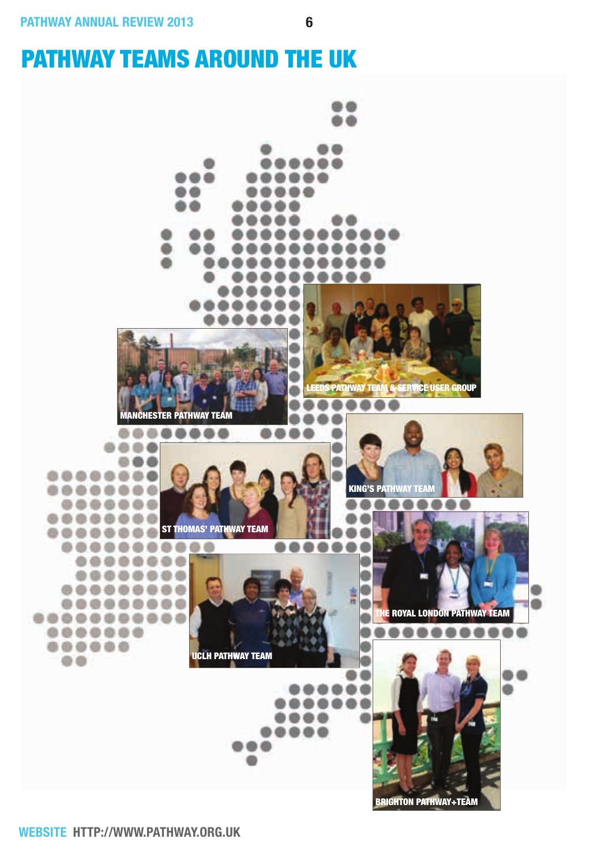## pathway teams around the UK

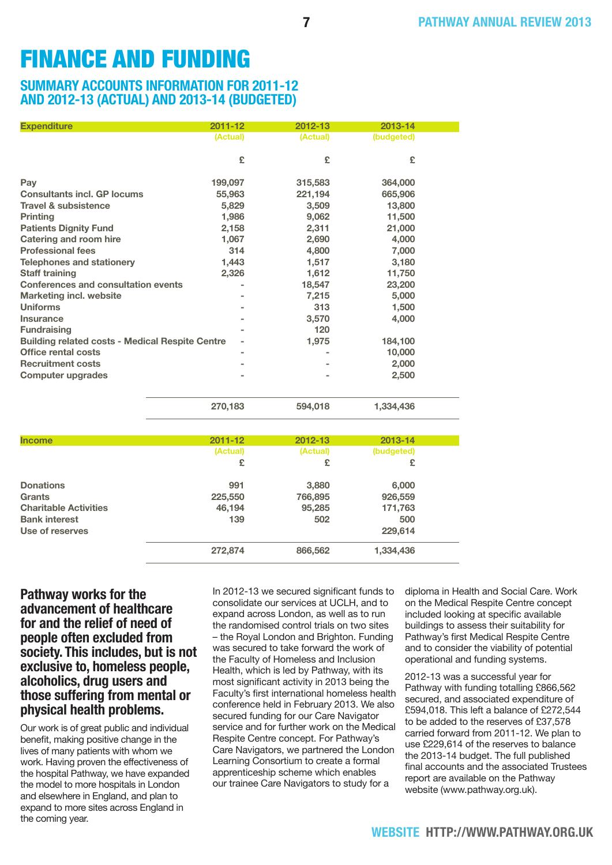## FINANCE AND FUNDING

#### **Summary accounts information for 2011-12 and 2012-13 (actual) and 2013-14 (budgeted)**

| <b>Expenditure</b>                                     | $2011 - 12$ | 2012-13  | 2013-14    |  |
|--------------------------------------------------------|-------------|----------|------------|--|
|                                                        | (Actual)    | (Actual) | (budgeted) |  |
|                                                        | £           | £        | £          |  |
| Pay                                                    | 199,097     | 315,583  | 364,000    |  |
| <b>Consultants incl. GP locums</b>                     | 55,963      | 221,194  | 665,906    |  |
| <b>Travel &amp; subsistence</b>                        | 5,829       | 3,509    | 13,800     |  |
| <b>Printing</b>                                        | 1,986       | 9,062    | 11,500     |  |
| <b>Patients Dignity Fund</b>                           | 2,158       | 2,311    | 21,000     |  |
| <b>Catering and room hire</b>                          | 1,067       | 2,690    | 4,000      |  |
| <b>Professional fees</b>                               | 314         | 4,800    | 7,000      |  |
| <b>Telephones and stationery</b>                       | 1,443       | 1,517    | 3,180      |  |
| <b>Staff training</b>                                  | 2,326       | 1,612    | 11,750     |  |
| <b>Conferences and consultation events</b>             |             | 18,547   | 23,200     |  |
| <b>Marketing incl. website</b>                         |             | 7,215    | 5,000      |  |
| <b>Uniforms</b>                                        |             | 313      | 1,500      |  |
| Insurance                                              |             | 3,570    | 4,000      |  |
| <b>Fundraising</b>                                     |             | 120      |            |  |
| <b>Building related costs - Medical Respite Centre</b> |             | 1,975    | 184,100    |  |
| Office rental costs                                    |             |          | 10,000     |  |
| <b>Recruitment costs</b>                               |             |          | 2,000      |  |
| <b>Computer upgrades</b>                               |             |          | 2,500      |  |
|                                                        |             |          |            |  |

| <b>Income</b>                | $2011 - 12$ | 2012-13  | 2013-14    |  |
|------------------------------|-------------|----------|------------|--|
|                              | (Actual)    | (Actual) | (budgeted) |  |
|                              | £           | £        | £          |  |
| <b>Donations</b>             | 991         | 3,880    | 6,000      |  |
| Grants                       | 225,550     | 766,895  | 926,559    |  |
| <b>Charitable Activities</b> | 46,194      | 95,285   | 171,763    |  |
| <b>Bank interest</b>         | 139         | 502      | 500        |  |
| Use of reserves              |             |          | 229,614    |  |
|                              | 272,874     | 866,562  | 1,334,436  |  |

#### **Pathway works for the advancement of healthcare for and the relief of need of people often excluded from society. This includes, but is not exclusive to, homeless people, alcoholics, drug users and those suffering from mental or physical health problems.**

Our work is of great public and individual benefit, making positive change in the lives of many patients with whom we work. Having proven the effectiveness of the hospital Pathway, we have expanded the model to more hospitals in London and elsewhere in England, and plan to expand to more sites across England in the coming year.

In 2012-13 we secured significant funds to consolidate our services at UCLH, and to expand across London, as well as to run the randomised control trials on two sites – the Royal London and Brighton. Funding was secured to take forward the work of the Faculty of Homeless and Inclusion Health, which is led by Pathway, with its most significant activity in 2013 being the Faculty's first international homeless health conference held in February 2013. We also secured funding for our Care Navigator service and for further work on the Medical Respite Centre concept. For Pathway's Care Navigators, we partnered the London Learning Consortium to create a formal apprenticeship scheme which enables our trainee Care Navigators to study for a

**270,183 594,018 1,334,436**

diploma in Health and Social Care. Work on the Medical Respite Centre concept included looking at specific available buildings to assess their suitability for Pathway's first Medical Respite Centre and to consider the viability of potential operational and funding systems.

2012-13 was a successful year for Pathway with funding totalling £866,562 secured, and associated expenditure of £594,018. This left a balance of £272,544 to be added to the reserves of £37,578 carried forward from 2011-12. We plan to use £229,614 of the reserves to balance the 2013-14 budget. The full published final accounts and the associated Trustees report are available on the Pathway website (www.pathway.org.uk).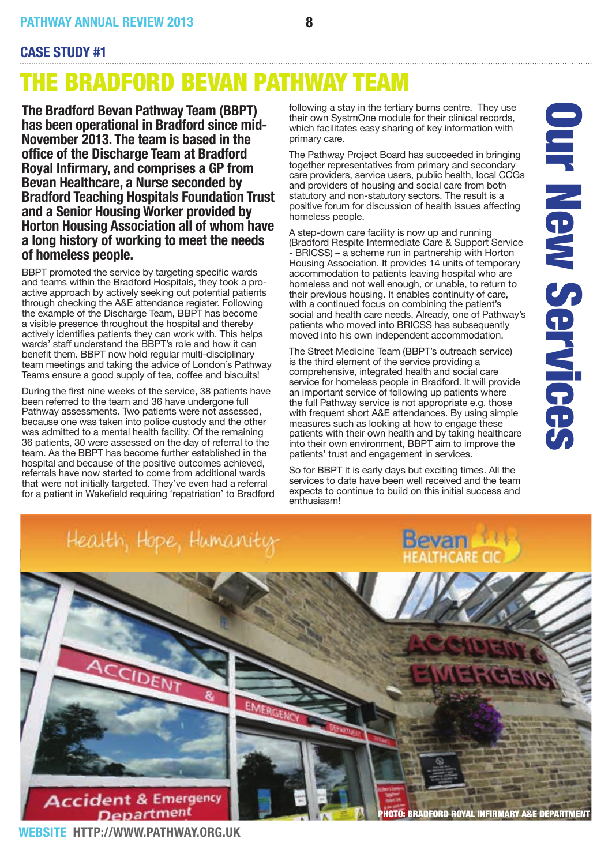#### **Case Study #1**

## The Bradford Bevan Pathway Team

**The Bradford Bevan Pathway Team (BBPT) has been operational in Bradford since mid-November 2013. The team is based in the office of the Discharge Team at Bradford Royal Infirmary, and comprises a GP from Bevan Healthcare, a Nurse seconded by Bradford Teaching Hospitals Foundation Trust and a Senior Housing Worker provided by Horton Housing Association all of whom have a long history of working to meet the needs of homeless people.**

BBPT promoted the service by targeting specific wards and teams within the Bradford Hospitals, they took a proactive approach by actively seeking out potential patients through checking the A&E attendance register. Following the example of the Discharge Team, BBPT has become a visible presence throughout the hospital and thereby actively identifies patients they can work with. This helps wards' staff understand the BBPT's role and how it can benefit them. BBPT now hold regular multi-disciplinary team meetings and taking the advice of London's Pathway Teams ensure a good supply of tea, coffee and biscuits!

During the first nine weeks of the service, 38 patients have been referred to the team and 36 have undergone full Pathway assessments. Two patients were not assessed, because one was taken into police custody and the other was admitted to a mental health facility. Of the remaining 36 patients, 30 were assessed on the day of referral to the team. As the BBPT has become further established in the hospital and because of the positive outcomes achieved, referrals have now started to come from additional wards that were not initially targeted. They've even had a referral for a patient in Wakefield requiring 'repatriation' to Bradford following a stay in the tertiary burns centre. They use their own SystmOne module for their clinical records, which facilitates easy sharing of key information with primary care.

The Pathway Project Board has succeeded in bringing together representatives from primary and secondary care providers, service users, public health, local CCGs and providers of housing and social care from both statutory and non-statutory sectors. The result is a positive forum for discussion of health issues affecting homeless people.

A step-down care facility is now up and running (Bradford Respite Intermediate Care & Support Service - BRICSS) – a scheme run in partnership with Horton Housing Association. It provides 14 units of temporary accommodation to patients leaving hospital who are homeless and not well enough, or unable, to return to their previous housing. It enables continuity of care, with a continued focus on combining the patient's social and health care needs. Already, one of Pathway's patients who moved into BRICSS has subsequently moved into his own independent accommodation.

The Street Medicine Team (BBPT's outreach service) is the third element of the service providing a comprehensive, integrated health and social care service for homeless people in Bradford. It will provide an important service of following up patients where the full Pathway service is not appropriate e.g. those with frequent short A&E attendances. By using simple measures such as looking at how to engage these patients with their own health and by taking healthcare into their own environment, BBPT aim to improve the patients' trust and engagement in services.

So for BBPT it is early days but exciting times. All the services to date have been well received and the team expects to continue to build on this initial success and enthusiasm!



**WEBSITE: http://www.pathway.org.uk**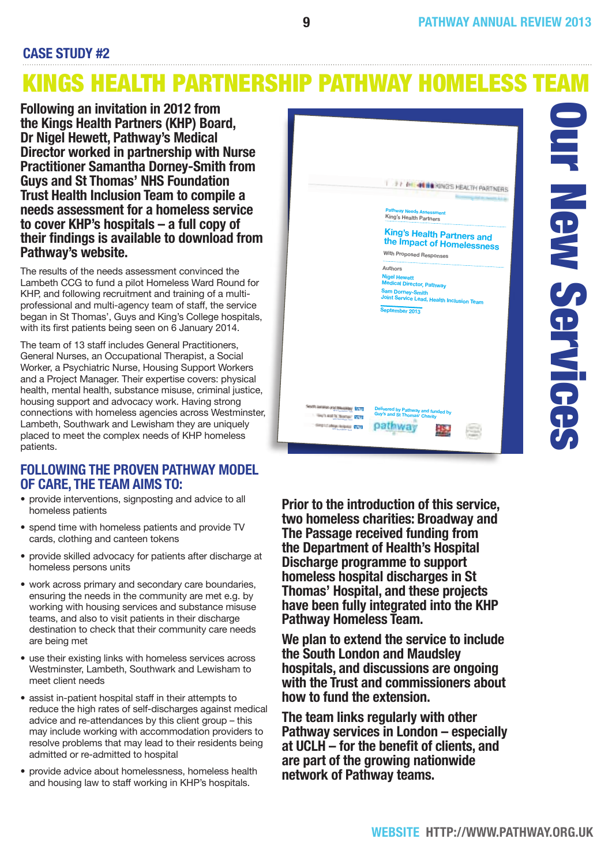#### **Case Study #2**

## Kings Health Partnership Pathway Homeless Team

**Following an invitation in 2012 from the Kings Health Partners (KHP) Board, Dr Nigel Hewett, Pathway's Medical Director worked in partnership with Nurse Practitioner Samantha Dorney-Smith from Guys and St Thomas' NHS Foundation Trust Health Inclusion Team to compile a needs assessment for a homeless service to cover KHP's hospitals – a full copy of their findings is available to download from Pathway's website.**

The results of the needs assessment convinced the Lambeth CCG to fund a pilot Homeless Ward Round for KHP, and following recruitment and training of a multiprofessional and multi-agency team of staff, the service began in St Thomas', Guys and King's College hospitals, with its first patients being seen on 6 January 2014.

The team of 13 staff includes General Practitioners, General Nurses, an Occupational Therapist, a Social Worker, a Psychiatric Nurse, Housing Support Workers and a Project Manager. Their expertise covers: physical health, mental health, substance misuse, criminal justice, housing support and advocacy work. Having strong connections with homeless agencies across Westminster, Lambeth, Southwark and Lewisham they are uniquely placed to meet the complex needs of KHP homeless patients.

#### **Following the proven Pathway model of care, the team aims to:**

- provide interventions, signposting and advice to all homeless patients
- spend time with homeless patients and provide TV cards, clothing and canteen tokens
- provide skilled advocacy for patients after discharge at homeless persons units
- work across primary and secondary care boundaries, ensuring the needs in the community are met e.g. by working with housing services and substance misuse teams, and also to visit patients in their discharge destination to check that their community care needs are being met
- use their existing links with homeless services across Westminster, Lambeth, Southwark and Lewisham to meet client needs
- assist in-patient hospital staff in their attempts to reduce the high rates of self-discharges against medical advice and re-attendances by this client group – this may include working with accommodation providers to resolve problems that may lead to their residents being admitted or re-admitted to hospital
- provide advice about homelessness, homeless health and housing law to staff working in KHP's hospitals.



**Prior to the introduction of this service, two homeless charities: Broadway and The Passage received funding from the Department of Health's Hospital Discharge programme to support homeless hospital discharges in St Thomas' Hospital, and these projects have been fully integrated into the KHP Pathway Homeless Team.**

**We plan to extend the service to include the South London and Maudsley hospitals, and discussions are ongoing with the Trust and commissioners about how to fund the extension.**

**The team links regularly with other Pathway services in London – especially at UCLH – for the benefit of clients, and are part of the growing nationwide network of Pathway teams.**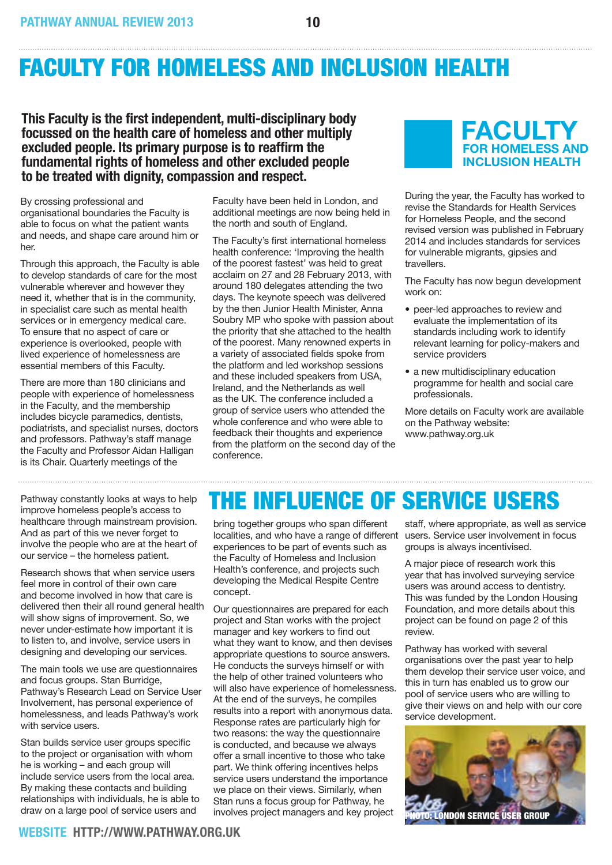## Faculty for Homeless and Inclusion Health

**This Faculty is the first independent, multi-disciplinary body focussed on the health care of homeless and other multiply excluded people. Its primary purpose is to reaffirm the fundamental rights of homeless and other excluded people to be treated with dignity, compassion and respect.**

By crossing professional and organisational boundaries the Faculty is able to focus on what the patient wants and needs, and shape care around him or her.

Through this approach, the Faculty is able to develop standards of care for the most vulnerable wherever and however they need it, whether that is in the community, in specialist care such as mental health services or in emergency medical care. To ensure that no aspect of care or experience is overlooked, people with lived experience of homelessness are essential members of this Faculty.

There are more than 180 clinicians and people with experience of homelessness in the Faculty, and the membership includes bicycle paramedics, dentists, podiatrists, and specialist nurses, doctors and professors. Pathway's staff manage the Faculty and Professor Aidan Halligan is its Chair. Quarterly meetings of the

Pathway constantly looks at ways to help improve homeless people's access to healthcare through mainstream provision. And as part of this we never forget to involve the people who are at the heart of our service – the homeless patient.

Research shows that when service users feel more in control of their own care and become involved in how that care is delivered then their all round general health will show signs of improvement. So, we never under-estimate how important it is to listen to, and involve, service users in designing and developing our services.

The main tools we use are questionnaires and focus groups. Stan Burridge, Pathway's Research Lead on Service User Involvement, has personal experience of homelessness, and leads Pathway's work with service users.

Stan builds service user groups specific to the project or organisation with whom he is working – and each group will include service users from the local area. By making these contacts and building relationships with individuals, he is able to draw on a large pool of service users and

Faculty have been held in London, and additional meetings are now being held in the north and south of England.

The Faculty's first international homeless health conference: 'Improving the health of the poorest fastest' was held to great acclaim on 27 and 28 February 2013, with around 180 delegates attending the two days. The keynote speech was delivered by the then Junior Health Minister, Anna Soubry MP who spoke with passion about the priority that she attached to the health of the poorest. Many renowned experts in a variety of associated fields spoke from the platform and led workshop sessions and these included speakers from USA, Ireland, and the Netherlands as well as the UK. The conference included a group of service users who attended the whole conference and who were able to feedback their thoughts and experience from the platform on the second day of the conference.



During the year, the Faculty has worked to revise the Standards for Health Services for Homeless People, and the second revised version was published in February 2014 and includes standards for services for vulnerable migrants, gipsies and travellers.

The Faculty has now begun development work on:

- peer-led approaches to review and evaluate the implementation of its standards including work to identify relevant learning for policy-makers and service providers
- a new multidisciplinary education programme for health and social care professionals.

More details on Faculty work are available on the Pathway website: www.pathway.org.uk

## The Influence of Service Users

bring together groups who span different localities, and who have a range of different experiences to be part of events such as the Faculty of Homeless and Inclusion Health's conference, and projects such developing the Medical Respite Centre concept.

Our questionnaires are prepared for each project and Stan works with the project manager and key workers to find out what they want to know, and then devises appropriate questions to source answers. He conducts the surveys himself or with the help of other trained volunteers who will also have experience of homelessness. At the end of the surveys, he compiles results into a report with anonymous data. Response rates are particularly high for two reasons: the way the questionnaire is conducted, and because we always offer a small incentive to those who take part. We think offering incentives helps service users understand the importance we place on their views. Similarly, when Stan runs a focus group for Pathway, he involves project managers and key project

staff, where appropriate, as well as service users. Service user involvement in focus groups is always incentivised.

A major piece of research work this year that has involved surveying service users was around access to dentistry. This was funded by the London Housing Foundation, and more details about this project can be found on page 2 of this review.

Pathway has worked with several organisations over the past year to help them develop their service user voice, and this in turn has enabled us to grow our pool of service users who are willing to give their views on and help with our core service development.

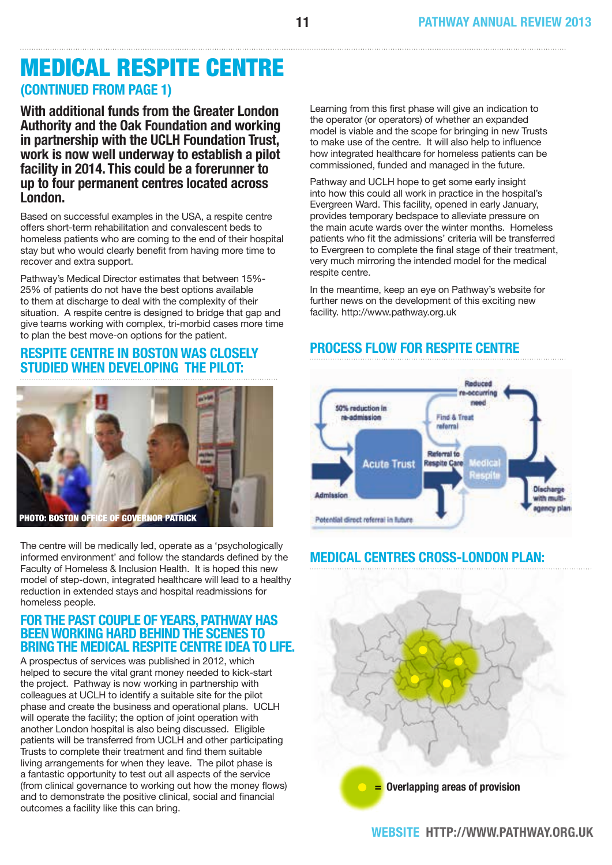### Medical Respite Centre **(CONTINUED from page 1)**

**With additional funds from the Greater London Authority and the Oak Foundation and working in partnership with the UCLH Foundation Trust, work is now well underway to establish a pilot facility in 2014. This could be a forerunner to up to four permanent centres located across London.** 

Based on successful examples in the USA, a respite centre offers short-term rehabilitation and convalescent beds to homeless patients who are coming to the end of their hospital stay but who would clearly benefit from having more time to recover and extra support.

Pathway's Medical Director estimates that between 15%- 25% of patients do not have the best options available to them at discharge to deal with the complexity of their situation. A respite centre is designed to bridge that gap and give teams working with complex, tri-morbid cases more time to plan the best move-on options for the patient.

#### **Respite Centre in Boston was closely studied when developing the pilot:**



The centre will be medically led, operate as a 'psychologically informed environment' and follow the standards defined by the Faculty of Homeless & Inclusion Health. It is hoped this new model of step-down, integrated healthcare will lead to a healthy reduction in extended stays and hospital readmissions for homeless people.

#### **For the past couple of years, Pathway has beenworking hard behindthe scenes to bring the Medical Respite Centre idea to life.**

A prospectus of services was published in 2012, which helped to secure the vital grant money needed to kick-start the project. Pathway is now working in partnership with colleagues at UCLH to identify a suitable site for the pilot phase and create the business and operational plans. UCLH will operate the facility; the option of joint operation with another London hospital is also being discussed. Eligible patients will be transferred from UCLH and other participating Trusts to complete their treatment and find them suitable living arrangements for when they leave. The pilot phase is a fantastic opportunity to test out all aspects of the service (from clinical governance to working out how the money flows) and to demonstrate the positive clinical, social and financial outcomes a facility like this can bring.

Learning from this first phase will give an indication to the operator (or operators) of whether an expanded model is viable and the scope for bringing in new Trusts to make use of the centre. It will also help to influence how integrated healthcare for homeless patients can be commissioned, funded and managed in the future.

Pathway and UCLH hope to get some early insight into how this could all work in practice in the hospital's Evergreen Ward. This facility, opened in early January, provides temporary bedspace to alleviate pressure on the main acute wards over the winter months. Homeless patients who fit the admissions' criteria will be transferred to Evergreen to complete the final stage of their treatment, very much mirroring the intended model for the medical respite centre.

In the meantime, keep an eye on Pathway's website for further news on the development of this exciting new facility. http://www.pathway.org.uk

#### **process flow for respite centre**



#### **Medical Centres Cross-London Plan:**

**= Overlapping areas of provision**